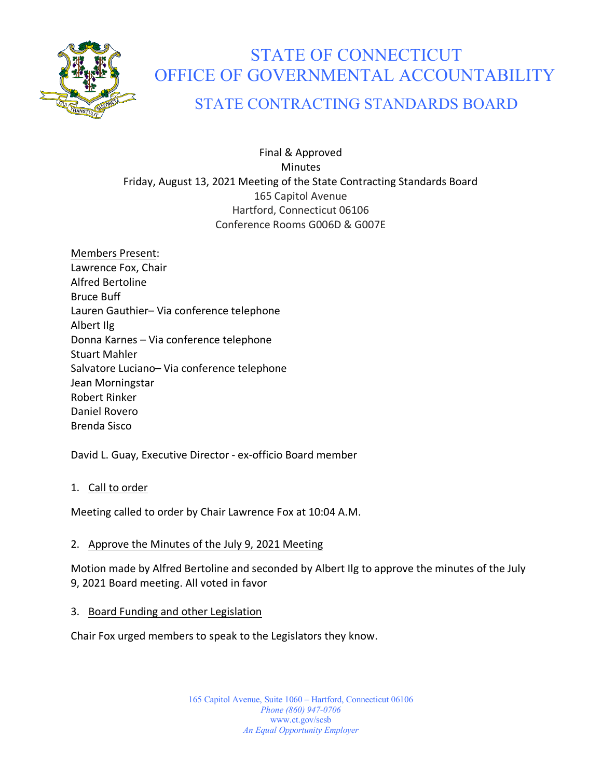

# STATE OF CONNECTICUT OFFICE OF GOVERNMENTAL ACCOUNTABILITY

# STATE CONTRACTING STANDARDS BOARD

Final & Approved Minutes Friday, August 13, 2021 Meeting of the State Contracting Standards Board 165 Capitol Avenue Hartford, Connecticut 06106 Conference Rooms G006D & G007E

Members Present: Lawrence Fox, Chair Alfred Bertoline Bruce Buff Lauren Gauthier– Via conference telephone Albert Ilg Donna Karnes – Via conference telephone Stuart Mahler Salvatore Luciano– Via conference telephone Jean Morningstar Robert Rinker Daniel Rovero Brenda Sisco

David L. Guay, Executive Director - ex-officio Board member

1. Call to order

Meeting called to order by Chair Lawrence Fox at 10:04 A.M.

# 2. Approve the Minutes of the July 9, 2021 Meeting

Motion made by Alfred Bertoline and seconded by Albert Ilg to approve the minutes of the July 9, 2021 Board meeting. All voted in favor

3. Board Funding and other Legislation

Chair Fox urged members to speak to the Legislators they know.

165 Capitol Avenue, Suite 1060 – Hartford, Connecticut 06106 *Phone (860) 947-0706*  www.ct.gov/scsb *An Equal Opportunity Employer*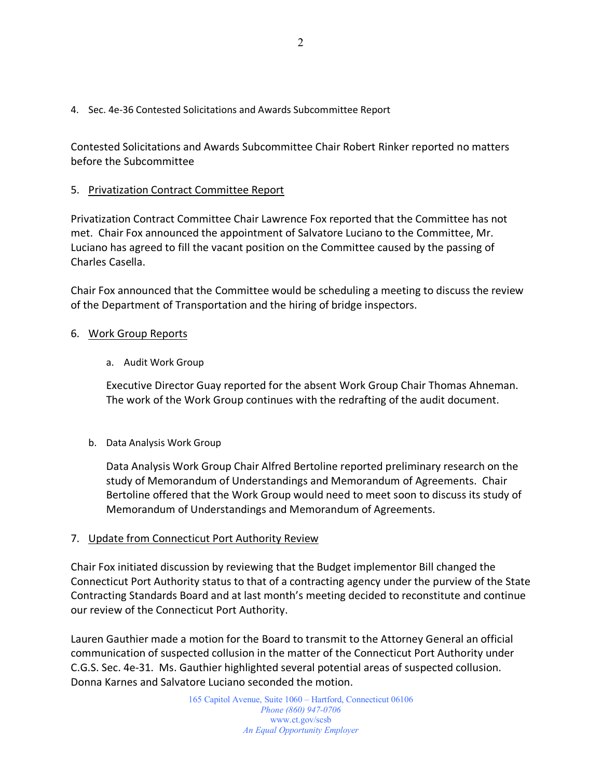4. Sec. 4e-36 Contested Solicitations and Awards Subcommittee Report

Contested Solicitations and Awards Subcommittee Chair Robert Rinker reported no matters before the Subcommittee

## 5. Privatization Contract Committee Report

Privatization Contract Committee Chair Lawrence Fox reported that the Committee has not met. Chair Fox announced the appointment of Salvatore Luciano to the Committee, Mr. Luciano has agreed to fill the vacant position on the Committee caused by the passing of Charles Casella.

Chair Fox announced that the Committee would be scheduling a meeting to discuss the review of the Department of Transportation and the hiring of bridge inspectors.

#### 6. Work Group Reports

a. Audit Work Group

Executive Director Guay reported for the absent Work Group Chair Thomas Ahneman. The work of the Work Group continues with the redrafting of the audit document.

b. Data Analysis Work Group

Data Analysis Work Group Chair Alfred Bertoline reported preliminary research on the study of Memorandum of Understandings and Memorandum of Agreements. Chair Bertoline offered that the Work Group would need to meet soon to discuss its study of Memorandum of Understandings and Memorandum of Agreements.

#### 7. Update from Connecticut Port Authority Review

Chair Fox initiated discussion by reviewing that the Budget implementor Bill changed the Connecticut Port Authority status to that of a contracting agency under the purview of the State Contracting Standards Board and at last month's meeting decided to reconstitute and continue our review of the Connecticut Port Authority.

Lauren Gauthier made a motion for the Board to transmit to the Attorney General an official communication of suspected collusion in the matter of the Connecticut Port Authority under C.G.S. Sec. 4e-31. Ms. Gauthier highlighted several potential areas of suspected collusion. Donna Karnes and Salvatore Luciano seconded the motion.

> 165 Capitol Avenue, Suite 1060 – Hartford, Connecticut 06106 *Phone (860) 947-0706*  www.ct.gov/scsb *An Equal Opportunity Employer*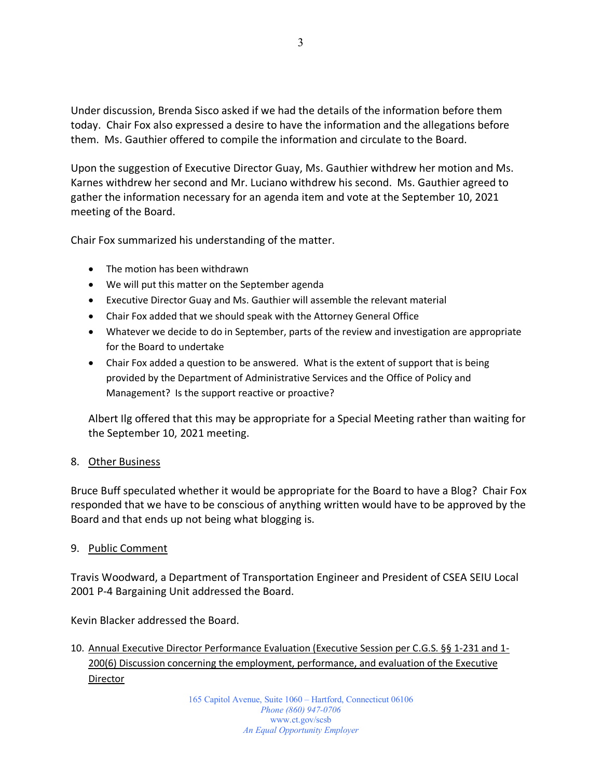Under discussion, Brenda Sisco asked if we had the details of the information before them today. Chair Fox also expressed a desire to have the information and the allegations before them. Ms. Gauthier offered to compile the information and circulate to the Board.

Upon the suggestion of Executive Director Guay, Ms. Gauthier withdrew her motion and Ms. Karnes withdrew her second and Mr. Luciano withdrew his second. Ms. Gauthier agreed to gather the information necessary for an agenda item and vote at the September 10, 2021 meeting of the Board.

Chair Fox summarized his understanding of the matter.

- The motion has been withdrawn
- We will put this matter on the September agenda
- Executive Director Guay and Ms. Gauthier will assemble the relevant material
- Chair Fox added that we should speak with the Attorney General Office
- Whatever we decide to do in September, parts of the review and investigation are appropriate for the Board to undertake
- Chair Fox added a question to be answered. What is the extent of support that is being provided by the Department of Administrative Services and the Office of Policy and Management? Is the support reactive or proactive?

Albert Ilg offered that this may be appropriate for a Special Meeting rather than waiting for the September 10, 2021 meeting.

#### 8. Other Business

Bruce Buff speculated whether it would be appropriate for the Board to have a Blog? Chair Fox responded that we have to be conscious of anything written would have to be approved by the Board and that ends up not being what blogging is.

#### 9. Public Comment

Travis Woodward, a Department of Transportation Engineer and President of CSEA SEIU Local 2001 P-4 Bargaining Unit addressed the Board.

Kevin Blacker addressed the Board.

10. Annual Executive Director Performance Evaluation (Executive Session per C.G.S. §§ 1-231 and 1- 200(6) Discussion concerning the employment, performance, and evaluation of the Executive **Director**